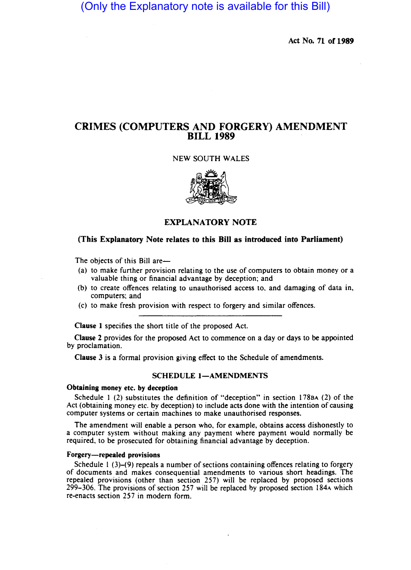(Only the Explanatory note is available for this Bill)

Act No. 71 of 1989

# CRIMES (COMPUTERS AND FORGERy) AMENDMENT BILL 1989

#### NEW SOUTH WALES



# EXPLANATORY NOTE

#### (This Explanatory Note relates to this Bill as introduced into Parliament)

The objects of this Bill are-

- (a) to make funher provision relating to the use of computers to obtain money or a valuable thing or financial advantage by deception; and
- (b) to create offences relating to unauthorised access to, and damaging of data in, computers; and
- (c) to make fresh provision with respect to forgery and similar offences.

Clause 1 specifies the short title of the proposed Act.

Clause 2 provides for the proposed Act to commence on a day or days to be appointed by proclamation.

Clause 3 is a formal provision giving effect to the Schedule of amendments.

## SCHEDULE 1-AMENDMENTS

#### Obtaining money etc. by deception

Schedule I (2) substitutes the definition of "deception" in section l78sA (2) of the Act (obtaining money etc. by deception) to include acts done with the intention of causing computer systems or cenain machines to make unauthorised responses.

The amendment will enable a person who, for example, obtains access dishonestly to a computer system without making any payment where payment would normally be required. to be prosecuted for obtaining financial advantage by deception.

## Forgery-repealed provisions

Schedule  $1(3)-(9)$  repeals a number of sections containing offences relating to forgery of documents and makes consequential amendments to various short headings. The repealed provisions (other than section 257) will be replaced by proposed sections 299-306. The provisions of section 257 will be replaced by proposed section l84A which re-enacts section 257 in modern form.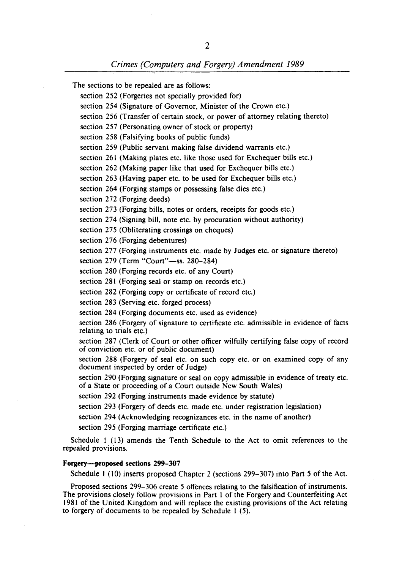The sections to be repealed are as follows:

section 252 (Forgeries not specially provided for) section 254 (Signature of Governor, Minister of the Crown etc.) section 256 (Transfer of certain stock, or power of attorney relating thereto) section 257 (Personating owner of stock or property)

section 258 (Falsifying books of public funds)

section 259 (Public servant making false dividend warrants etc.)

section 261 (Making plates etc. like those used for Exchequer bills etc.)

section 262 (Making paper like that used for Exchequer bills etc.)

section 263 (Having paper etc. to be used for Exchequer bills etc.)

section 264 (Forging stamps or possessing false dies etc.)

section 272 (Forging deeds)

section 273 (Forging bills, notes or orders, receipts for goods etc.)

section 274 (Signing bill, note etc. by procuration without authority)

section 275 (Obliterating crossings on cheques)

section 276 (Forging debentures)

section 277 (Forging instruments etc. made by Judges etc. or signature thereto)

section 279 (Term "Court"-ss. 280-284)

section 280 (Forging records etc. of any Court)

section 281 (Forging seal or stamp on records etc.)

section 282 (Forging copy or certificate of record etc.)

section 283 (Serving etc. forged process)

section 284 (Forging documents etc. used as evidence)

section 286 (Forgery of signature to certificate etc. admissible in evidence of facts relating to trials etc.)

section 287 (Clerk of Court or other officer wilfully certifying false copy of record of conviction etc. or of public document)

section 288 (Forgery of seal etc. on such copy etc. or on examined copy of any document inspected by order of Judge)

section 290 (Forging signature or seal on copy admissible in evidence of treaty etc. of a State or proceeding of a Court outside New South Wales)

section 292 (Forging instruments made evidence by statute)

section 293 (Forgery of deeds etc. made etc. under registration legislation)

section 294 (Acknowledging recognizances etc. in the name of another)

section 295 (Forging marriage certificate etc.)

Schedule I (13) amends the Tenth Schedule to the Act to omit references to the repealed provisions.

# Forgery-proposed sections 299-307

Schedule I (10) inserts proposed Chapter 2 (sections 299-307) into Part 5 of the Act.

Proposed sections 299-306 create 5 offences relating to the falsification of instruments. The provisions closely follow provisions in Part I of the Forgery and Counterfeiting Act 1981 of the United Kingdom and will replace the existing provisions of the Act relating to forgery of documents to be repealed by Schedule I (5).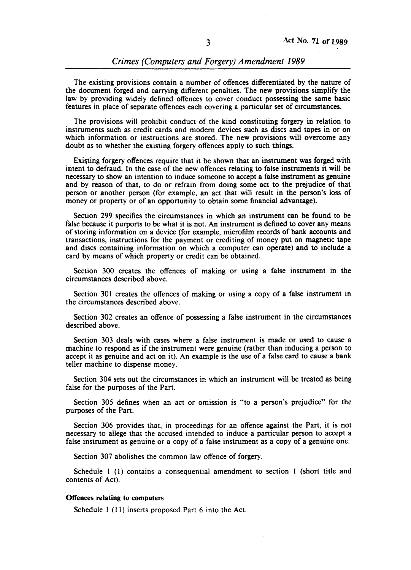The existing provisions contain a number of offences differentiated by the nature of the document forged and carrying different penalties. The new provisions simplify the law by providing widely defined offences to cover conduct possessing the same basic features in place of separate offences each covering a particular set of circumstances.

The provisions will prohibit conduct of the kind constituting forgery in relation to instruments such as credit cards and modern devices such as discs and tapes in or on which information or instructions are stored. The new provisions will overcome any doubt as to whether the existing forgery offences apply to such things.

Existing forgery offences require that it be shown that an instrument was forged with intent to defraud. In the case of the new offences relating to false instruments it will be necessary to show an intention to induce someone to accept a false instrument as genuine and by reason of that, to do or refrain from doing some act to the prejudice of that person or another person (for example, an act that will result in the person's loss of money or property or of an opportunity to obtain some financial advantage).

Section 299 specifies the circumstances in which an instrument can be found to be false because it purports to be what it is not. An instrument is defined to cover any means of storing information on a device (for example, microfilm records of bank accounts and transactions, instructions for the payment or crediting of money put on magnetic tape and discs containing information on which a computer can operate) and to include a card by means of which property or credit can be obtained.

Section 300 creates the offences of making or using a false instrument in the circumstances described above.

Section 301 creates the offences of making or using a copy of a false instrument in the circumstances described above.

Section 302 creates an offence of possessing a false instrument in the circumstances described above.

Section 303 deals with cases where a false instrument is made or used to cause a machine to respond as if the instrument were genuine (rather than inducing a person to accept it as genuine and act on it). An example is the use of a false card to cause a bank teller machine to dispense money.

Section 304 sets out the circumstances in which an instrument will be treated as being false for the purposes of the Part.

Section 305 defines when an act or omission is "to a person's prejudice" for the purposes of the Part.

Section 306 provides that, in proceedings for an offence against the Part, it is not necessary to allege that the accused intended to induce a particular person to accept a false instrument as genuine or a copy of a false instrument as a copy of a genuine one.

Section 307 abolishes the common law offence of forgery.

Schedule 1 (I) contains a consequential amendment to section 1 (short title and contents of Act).

#### Offences relating to computers

Schedule 1 (11) inserts proposed Part 6 into the Act.